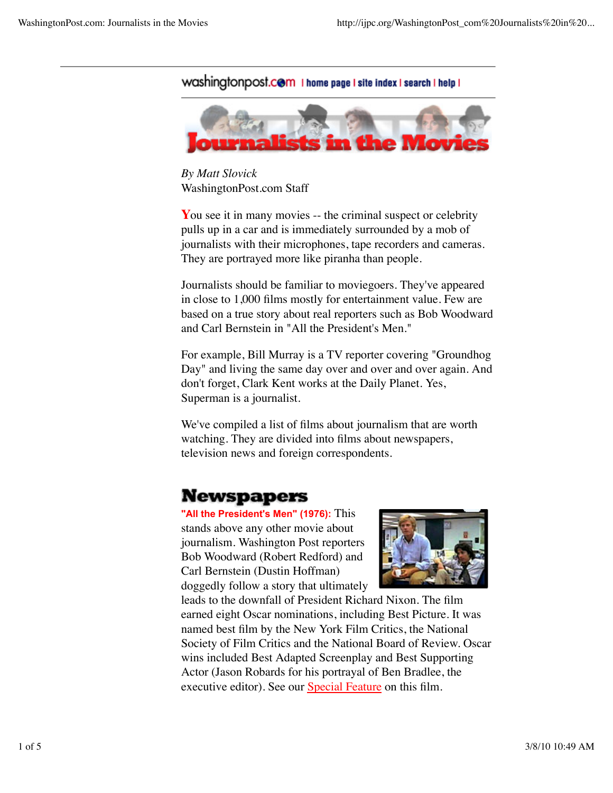## washingtonpost.com I home page I site index I search I help I



*By Matt Slovick* WashingtonPost.com Staff

You see it in many movies -- the criminal suspect or celebrity pulls up in a car and is immediately surrounded by a mob of journalists with their microphones, tape recorders and cameras. They are portrayed more like piranha than people.

Journalists should be familiar to moviegoers. They've appeared in close to 1,000 films mostly for entertainment value. Few are based on a true story about real reporters such as Bob Woodward and Carl Bernstein in "All the President's Men."

For example, Bill Murray is a TV reporter covering "Groundhog Day" and living the same day over and over and over again. And don't forget, Clark Kent works at the Daily Planet. Yes, Superman is a journalist.

We've compiled a list of films about journalism that are worth watching. They are divided into films about newspapers, television news and foreign correspondents.

## **Newspapers**

**"All the President's Men" (1976):** This stands above any other movie about journalism. Washington Post reporters Bob Woodward (Robert Redford) and Carl Bernstein (Dustin Hoffman) doggedly follow a story that ultimately



leads to the downfall of President Richard Nixon. The film earned eight Oscar nominations, including Best Picture. It was named best film by the New York Film Critics, the National Society of Film Critics and the National Board of Review. Oscar wins included Best Adapted Screenplay and Best Supporting Actor (Jason Robards for his portrayal of Ben Bradlee, the executive editor). See our **Special Feature** on this film.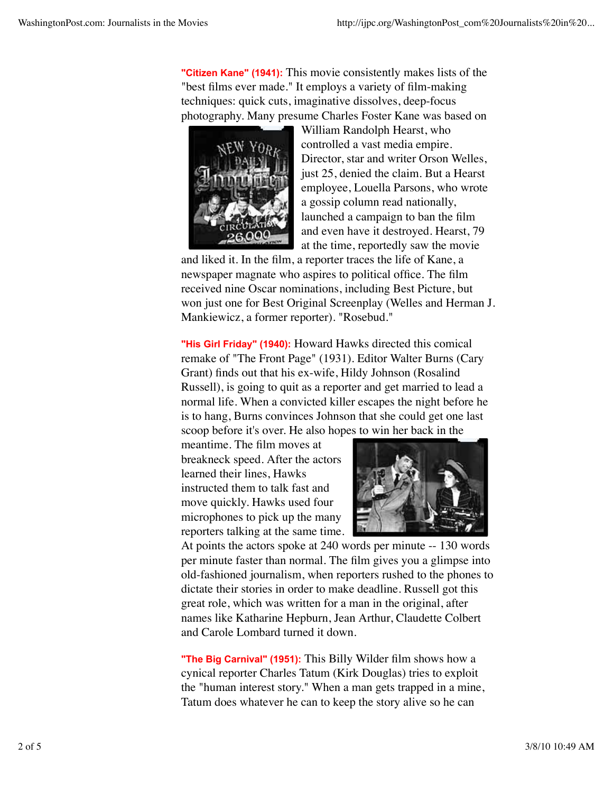**"Citizen Kane" (1941):** This movie consistently makes lists of the "best films ever made." It employs a variety of film-making techniques: quick cuts, imaginative dissolves, deep-focus photography. Many presume Charles Foster Kane was based on



William Randolph Hearst, who controlled a vast media empire. Director, star and writer Orson Welles, just 25, denied the claim. But a Hearst employee, Louella Parsons, who wrote a gossip column read nationally, launched a campaign to ban the film and even have it destroyed. Hearst, 79 at the time, reportedly saw the movie

and liked it. In the film, a reporter traces the life of Kane, a newspaper magnate who aspires to political office. The film received nine Oscar nominations, including Best Picture, but won just one for Best Original Screenplay (Welles and Herman J. Mankiewicz, a former reporter). "Rosebud."

**"His Girl Friday" (1940):** Howard Hawks directed this comical remake of "The Front Page" (1931). Editor Walter Burns (Cary Grant) finds out that his ex-wife, Hildy Johnson (Rosalind Russell), is going to quit as a reporter and get married to lead a normal life. When a convicted killer escapes the night before he is to hang, Burns convinces Johnson that she could get one last scoop before it's over. He also hopes to win her back in the

meantime. The film moves at breakneck speed. After the actors learned their lines, Hawks instructed them to talk fast and move quickly. Hawks used four microphones to pick up the many reporters talking at the same time.



At points the actors spoke at 240 words per minute -- 130 words per minute faster than normal. The film gives you a glimpse into old-fashioned journalism, when reporters rushed to the phones to dictate their stories in order to make deadline. Russell got this great role, which was written for a man in the original, after names like Katharine Hepburn, Jean Arthur, Claudette Colbert and Carole Lombard turned it down.

**"The Big Carnival" (1951):** This Billy Wilder film shows how a cynical reporter Charles Tatum (Kirk Douglas) tries to exploit the "human interest story." When a man gets trapped in a mine, Tatum does whatever he can to keep the story alive so he can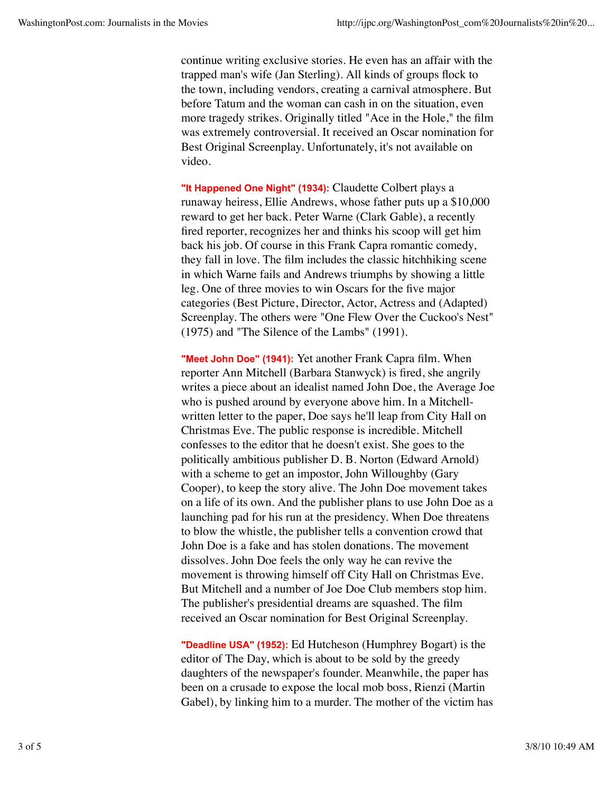continue writing exclusive stories. He even has an affair with the trapped man's wife (Jan Sterling). All kinds of groups flock to the town, including vendors, creating a carnival atmosphere. But before Tatum and the woman can cash in on the situation, even more tragedy strikes. Originally titled "Ace in the Hole," the film was extremely controversial. It received an Oscar nomination for Best Original Screenplay. Unfortunately, it's not available on video.

**"It Happened One Night" (1934):** Claudette Colbert plays a runaway heiress, Ellie Andrews, whose father puts up a \$10,000 reward to get her back. Peter Warne (Clark Gable), a recently fired reporter, recognizes her and thinks his scoop will get him back his job. Of course in this Frank Capra romantic comedy, they fall in love. The film includes the classic hitchhiking scene in which Warne fails and Andrews triumphs by showing a little leg. One of three movies to win Oscars for the five major categories (Best Picture, Director, Actor, Actress and (Adapted) Screenplay. The others were "One Flew Over the Cuckoo's Nest" (1975) and "The Silence of the Lambs" (1991).

**"Meet John Doe" (1941):** Yet another Frank Capra film. When reporter Ann Mitchell (Barbara Stanwyck) is fired, she angrily writes a piece about an idealist named John Doe, the Average Joe who is pushed around by everyone above him. In a Mitchellwritten letter to the paper, Doe says he'll leap from City Hall on Christmas Eve. The public response is incredible. Mitchell confesses to the editor that he doesn't exist. She goes to the politically ambitious publisher D. B. Norton (Edward Arnold) with a scheme to get an impostor, John Willoughby (Gary Cooper), to keep the story alive. The John Doe movement takes on a life of its own. And the publisher plans to use John Doe as a launching pad for his run at the presidency. When Doe threatens to blow the whistle, the publisher tells a convention crowd that John Doe is a fake and has stolen donations. The movement dissolves. John Doe feels the only way he can revive the movement is throwing himself off City Hall on Christmas Eve. But Mitchell and a number of Joe Doe Club members stop him. The publisher's presidential dreams are squashed. The film received an Oscar nomination for Best Original Screenplay.

**"Deadline USA" (1952):** Ed Hutcheson (Humphrey Bogart) is the editor of The Day, which is about to be sold by the greedy daughters of the newspaper's founder. Meanwhile, the paper has been on a crusade to expose the local mob boss, Rienzi (Martin Gabel), by linking him to a murder. The mother of the victim has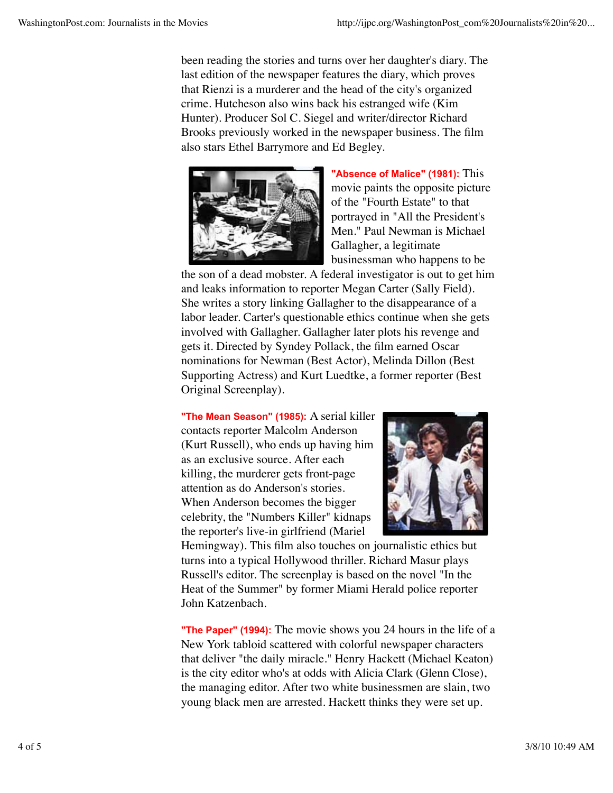been reading the stories and turns over her daughter's diary. The last edition of the newspaper features the diary, which proves that Rienzi is a murderer and the head of the city's organized crime. Hutcheson also wins back his estranged wife (Kim Hunter). Producer Sol C. Siegel and writer/director Richard Brooks previously worked in the newspaper business. The film also stars Ethel Barrymore and Ed Begley.



**"Absence of Malice" (1981):** This movie paints the opposite picture of the "Fourth Estate" to that portrayed in "All the President's Men." Paul Newman is Michael Gallagher, a legitimate businessman who happens to be

the son of a dead mobster. A federal investigator is out to get him and leaks information to reporter Megan Carter (Sally Field). She writes a story linking Gallagher to the disappearance of a labor leader. Carter's questionable ethics continue when she gets involved with Gallagher. Gallagher later plots his revenge and gets it. Directed by Syndey Pollack, the film earned Oscar nominations for Newman (Best Actor), Melinda Dillon (Best Supporting Actress) and Kurt Luedtke, a former reporter (Best Original Screenplay).

**"The Mean Season" (1985):** A serial killer contacts reporter Malcolm Anderson (Kurt Russell), who ends up having him as an exclusive source. After each killing, the murderer gets front-page attention as do Anderson's stories. When Anderson becomes the bigger celebrity, the "Numbers Killer" kidnaps the reporter's live-in girlfriend (Mariel



Hemingway). This film also touches on journalistic ethics but turns into a typical Hollywood thriller. Richard Masur plays Russell's editor. The screenplay is based on the novel "In the Heat of the Summer" by former Miami Herald police reporter John Katzenbach.

**"The Paper" (1994):** The movie shows you 24 hours in the life of a New York tabloid scattered with colorful newspaper characters that deliver "the daily miracle." Henry Hackett (Michael Keaton) is the city editor who's at odds with Alicia Clark (Glenn Close), the managing editor. After two white businessmen are slain, two young black men are arrested. Hackett thinks they were set up.